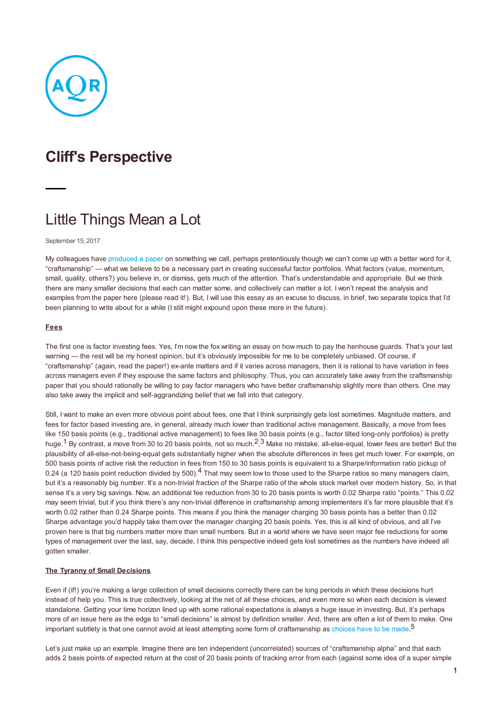

# **Cliff's Perspective**

# Little Things Mean a Lot

September 15, 2017

My colleagues have [produced](https://papers.ssrn.com/sol3/papers.cfm?abstract_id=3034472) a paper on something we call, perhaps pretentiously though we can't come up with a better word for it, "craftsmanship" — what we believe to be a necessary part in creating successful factor portfolios. What factors (value, momentum, small, quality, others?) you believe in, or dismiss, gets much of the attention. That's understandable and appropriate. But we think there are many smaller decisions that each can matter some, and collectively can matter a lot. I won't repeat the analysis and examples from the paper here (please read it!). But, I will use this essay as an excuse to discuss, in brief, two separate topics that I'd been planning to write about for a while (I still might expound upon these more in the future).

#### **Fees**

The first one is factor investing fees. Yes, I'm now the fox writing an essay on how much to pay the henhouse guards. That's your last warning — the rest will be my honest opinion, but it's obviously impossible for me to be completely unbiased. Of course, if "craftsmanship" (again, read the paper!) ex-ante matters and if it varies across managers, then it is rational to have variation in fees across managers even if they espouse the same factors and philosophy. Thus, you can accurately take away from the craftsmanship paper that you should rationally be willing to pay factor managers who have better craftsmanship slightly more than others. One may also take away the implicit and self-aggrandizing belief that we fall into that category.

Still, I want to make an even more obvious point about fees, one that I think surprisingly gets lost sometimes. Magnitude matters, and fees for factor based investing are, in general, already much lower than traditional active management. Basically, a move from fees like 150 basis points (e.g., traditional active management) to fees like 30 basis points (e.g., factor tilted long-only portfolios) is pretty huge.<sup>1</sup> By contrast, a move from 30 to 20 basis points, not so much.<sup>2</sup>,<sup>3</sup> Make no mistake, all-else-equal, lower fees are better! But the plausibility of all-else-not-being-equal gets substantially higher when the absolute differences in fees get much lower. For example, on 500 basis points of active risk the reduction in fees from 150 to 30 basis points is equivalent to a Sharpe/information ratio pickup of 0.24 (a 120 basis point reduction divided by 500).<sup>4</sup> That may seem low to those used to the Sharpe ratios so many managers claim, but it's a reasonably big number. It's a non-trivial fraction of the Sharpe ratio of the whole stock market over modern history. So, in that sense it's a very big savings. Now, an additional fee reduction from 30 to 20 basis points is worth 0.02 Sharpe ratio "points." This 0.02 may seem trivial, but if you think there's any non-trivial difference in craftsmanship among implementers it's far more plausible that it's worth 0.02 rather than 0.24 Sharpe points. This means if you think the manager charging 30 basis points has a better than 0.02 Sharpe advantage you'd happily take them over the manager charging 20 basis points. Yes, this is all kind of obvious, and all I've proven here is that big numbers matter more than small numbers. But in a world where we have seen major fee reductions for some types of management over the last, say, decade, I think this perspective indeed gets lost sometimes as the numbers have indeed all gotten smaller.

## **The Tyranny of Small Decisions**

Even if (if!) you're making a large collection of small decisions correctly there can be long periods in which these decisions hurt instead of help you. This is true collectively, looking at the net of all these choices, and even more so when each decision is viewed standalone. Getting your time horizon lined up with some rational expectations is always a huge issue in investing. But, it's perhaps more of an issue here as the edge to "small decisions" is almost by definition smaller. And, there are often a lot of them to make. One important subtlety is that one cannot avoid at least attempting some form of craftsmanship as [choices](https://www.youtube.com/watch?v=OnxkfLe4G74) have to be made.<sup>5</sup>

Let's just make up an example. Imagine there are ten independent (uncorrelated) sources of "craftsmanship alpha" and that each adds 2 basis points of expected return at the cost of 20 basis points of tracking error from each (against some idea of a super simple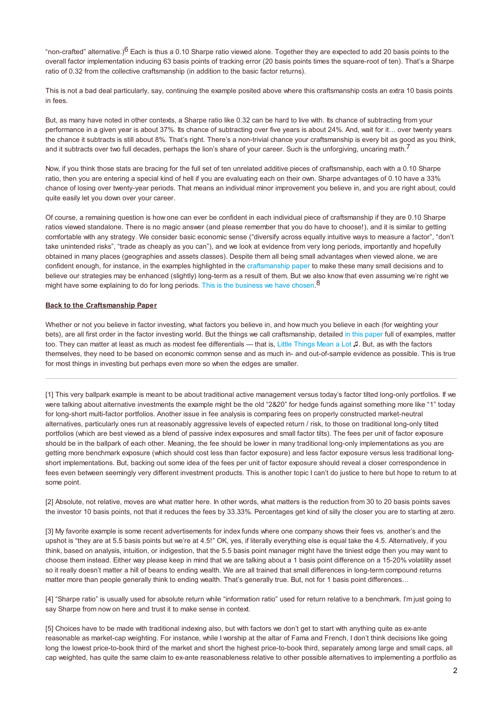"non-crafted" alternative.)<sup>6</sup> Each is thus a 0.10 Sharpe ratio viewed alone. Together they are expected to add 20 basis points to the overall factor implementation inducing 63 basis points of tracking error (20 basis points times the square-root of ten). That's a Sharpe ratio of 0.32 from the collective craftsmanship (in addition to the basic factor returns).

This is not a bad deal particularly, say, continuing the example posited above where this craftsmanship costs an extra 10 basis points in fees.

But, as many have noted in other contexts, a Sharpe ratio like 0.32 can be hard to live with. Its chance of subtracting from your performance in a given year is about 37%. Its chance of subtracting over five years is about 24%. And, wait for it… over twenty years the chance it subtracts is still about 8%. That's right. There's a non-trivial chance your craftsmanship is every bit as good as you think, and it subtracts over two full decades, perhaps the lion's share of your career. Such is the unforgiving, uncaring math.<sup>7</sup>

Now, if you think those stats are bracing for the full set of ten unrelated additive pieces of craftsmanship, each with a 0.10 Sharpe ratio, then you are entering a special kind of hell if you are evaluating each on their own. Sharpe advantages of 0.10 have a 33% chance of losing over twenty-year periods. That means an individual minor improvement you believe in, and you are right about, could quite easily let you down over your career.

Of course, a remaining question is how one can ever be confident in each individual piece of craftsmanship if they are 0.10 Sharpe ratios viewed standalone. There is no magic answer (and please remember that you do have to choose!), and it is similar to getting comfortable with any strategy. We consider basic economic sense ("diversify across equally intuitive ways to measure a factor", "don't take unintended risks", "trade as cheaply as you can"), and we look at evidence from very long periods, importantly and hopefully obtained in many places (geographies and assets classes). Despite them all being small advantages when viewed alone, we are confident enough, for instance, in the examples highlighted in the [craftsmanship](https://papers.ssrn.com/sol3/papers.cfm?abstract_id=3034472) paper to make these many small decisions and to believe our strategies may be enhanced (slightly) long-term as a result of them. But we also know that even assuming we're right we might have some explaining to do for long periods. This is the [business](https://www.youtube.com/watch?v=io43ak_Vias&feature=youtu.be) we have chosen.<sup>8</sup>

### **Back to the Craftsmanship Paper**

Whether or not you believe in factor investing, what factors you believe in, and how much you believe in each (for weighting your bets), are all first order in the factor investing world. But the things we call craftsmanship, detailed in this [paper](https://papers.ssrn.com/sol3/papers.cfm?abstract_id=3034472) full of examples, matter too. They can matter at least as much as modest fee differentials — that is, Little [Things](https://www.youtube.com/watch?v=2C7SzKv2uLU) Mean a Lot ♫. But, as with the factors themselves, they need to be based on economic common sense and as much in- and out-of-sample evidence as possible. This is true for most things in investing but perhaps even more so when the edges are smaller.

[1] This very ballpark example is meant to be about traditional active management versus today's factor tilted long-only portfolios. If we were talking about alternative investments the example might be the old "2&20" for hedge funds against something more like "1" today for long-short multi-factor portfolios. Another issue in fee analysis is comparing fees on properly constructed market-neutral alternatives, particularly ones run at reasonably aggressive levels of expected return / risk, to those on traditional long-only tilted portfolios (which are best viewed as a blend of passive index exposures and small factor tilts). The fees per unit of factor exposure should be in the ballpark of each other. Meaning, the fee should be lower in many traditional long-only implementations as you are getting more benchmark exposure (which should cost less than factor exposure) and less factor exposure versus less traditional longshort implementations. But, backing out some idea of the fees per unit of factor exposure should reveal a closer correspondence in fees even between seemingly very different investment products. This is another topic I can't do justice to here but hope to return to at some point.

[2] Absolute, not relative, moves are what matter here. In other words, what matters is the reduction from 30 to 20 basis points saves the investor 10 basis points, not that it reduces the fees by 33.33%. Percentages get kind of silly the closer you are to starting at zero.

[3] My favorite example is some recent advertisements for index funds where one company shows their fees vs. another's and the upshot is "they are at 5.5 basis points but we're at 4.5!" OK, yes, if literally everything else is equal take the 4.5. Alternatively, if you think, based on analysis, intuition, or indigestion, that the 5.5 basis point manager might have the tiniest edge then you may want to choose them instead. Either way please keep in mind that we are talking about a 1 basis point difference on a 15-20% volatility asset so it really doesn't matter a hill of beans to ending wealth. We are all trained that small differences in long-term compound returns matter more than people generally think to ending wealth. That's generally true. But, not for 1 basis point differences...

[4] "Sharpe ratio" is usually used for absolute return while "information ratio" used for return relative to a benchmark. I'm just going to say Sharpe from now on here and trust it to make sense in context.

[5] Choices have to be made with traditional indexing also, but with factors we don't get to start with anything quite as ex-ante reasonable as market-cap weighting. For instance, while I worship at the altar of Fama and French, I don't think decisions like going long the lowest price-to-book third of the market and short the highest price-to-book third, separately among large and small caps, all cap weighted, has quite the same claim to ex-ante reasonableness relative to other possible alternatives to implementing a portfolio as